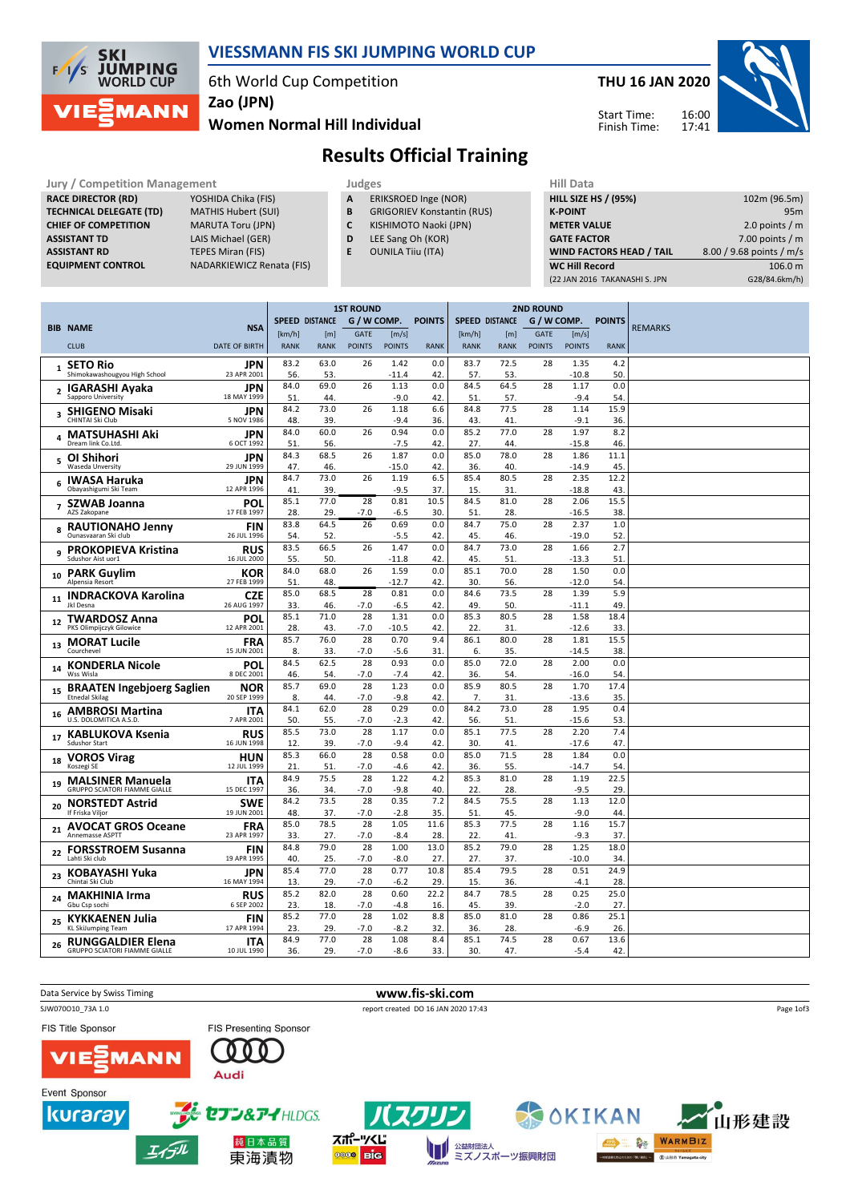

#### VIESSMANN FIS SKI JUMPING WORLD CUP

6th World Cup Competition

Zao (JPN)

#### Women Normal Hill Individual

### THU 16 JAN 2020



Start Time: Finish Time:

# Results Official Training

Jury / Competition Management<br> **RACE DIRECTOR (RD)** YOSHIDA Chika (FIS) **A ERIKSROED Inge (NOR)** HILL SIZE HILL SIZE RACE DIRECTOR (RD) **TECHNICAL DELEGATE (TD)** MATHIS Hubert (SUI)<br> **CHIEF OF COMPETITION** MARUTA Toru (JPN) CHIEF OF COMPETITION ASSISTANT TD LAIS Michael (GER)

**ASSISTANT RD** TEPES Miran (FIS)<br> **EQUIPMENT CONTROL** NADARKIEWICZ Re NADARKIEWICZ Renata (FIS)

- A ERIKSROED Inge (NOR)
- **B** GRIGORIEV Konstantin (RUS)<br>**C** KISHIMOTO Naoki (JPN)
- KISHIMOTO Naoki (JPN)
- D LEE Sang Oh (KOR)
- E OUNILA Tiiu (ITA)

| 102m (96.5m)             |
|--------------------------|
| 95 <sub>m</sub>          |
| 2.0 points $/m$          |
| 7.00 points $/m$         |
| 8.00 / 9.68 points / m/s |
| 106.0 m                  |
| G28/84.6km/h)            |
|                          |

|                |                                                     |                           | <b>1ST ROUND</b>                                      |             |                                      |                 |             |             |               | <b>2ND ROUND</b> |                 |             |                |
|----------------|-----------------------------------------------------|---------------------------|-------------------------------------------------------|-------------|--------------------------------------|-----------------|-------------|-------------|---------------|------------------|-----------------|-------------|----------------|
|                |                                                     |                           | <b>SPEED DISTANCE</b><br>G / W COMP.<br><b>POINTS</b> |             | <b>SPEED DISTANCE</b><br>G / W COMP. |                 |             |             | <b>POINTS</b> |                  |                 |             |                |
|                | <b>BIB NAME</b>                                     | <b>NSA</b>                | [km/h]                                                | [m]         | <b>GATE</b>                          | [m/s]           |             | [km/h]      | [m]           | GATE             | [m/s]           |             | <b>REMARKS</b> |
|                | <b>CLUB</b>                                         | <b>DATE OF BIRTH</b>      | <b>RANK</b>                                           | <b>RANK</b> | <b>POINTS</b>                        | <b>POINTS</b>   | <b>RANK</b> | <b>RANK</b> | <b>RANK</b>   | <b>POINTS</b>    | <b>POINTS</b>   | <b>RANK</b> |                |
| $\mathbf{1}$   | <b>SETO Rio</b>                                     | JPN                       | 83.2                                                  | 63.0        | 26                                   | 1.42            | 0.0         | 83.7        | 72.5          | 28               | 1.35            | 4.2         |                |
|                | Shimokawashougyou High School                       | 23 APR 2001               | 56.                                                   | 53          |                                      | $-11.4$         | 42.         | 57.         | 53.           |                  | $-10.8$         | 50.         |                |
| $\overline{2}$ | <b>IGARASHI Ayaka</b><br>Sapporo University         | <b>JPN</b><br>18 MAY 1999 | 84.0                                                  | 69.0        | 26                                   | 1.13            | 0.0         | 84.5        | 64.5          | 28               | 1.17            | 0.0         |                |
|                |                                                     |                           | 51<br>84.2                                            | 44<br>73.0  | 26                                   | $-9.0$<br>1.18  | 42.<br>6.6  | 51.<br>84.8 | 57.<br>77.5   | 28               | $-9.4$<br>1.14  | 54.<br>15.9 |                |
| 3              | <b>SHIGENO Misaki</b><br>CHINTAI Ski Club           | JPN<br>5 NOV 1986         | 48.                                                   | 39          |                                      | $-9.4$          | 36.         | 43.         | 41.           |                  | $-9.1$          | 36          |                |
|                | <b>MATSUHASHI Aki</b>                               | <b>JPN</b>                | 84.0                                                  | 60.0        | 26                                   | 0.94            | 0.0         | 85.2        | 77.0          | 28               | 1.97            | 8.2         |                |
|                | Dream link Co.Ltd.                                  | 6 OCT 1992                | 51                                                    | 56.         |                                      | $-7.5$          | 42.         | 27.         | 44.           |                  | $-15.8$         | 46          |                |
| 5              | OI Shihori                                          | <b>JPN</b>                | 84.3                                                  | 68.5        | 26                                   | 1.87            | 0.0         | 85.0        | 78.0          | 28               | 1.86            | 11.1        |                |
|                | Waseda Unversity                                    | 29 JUN 1999               | 47.                                                   | 46.         |                                      | $-15.0$         | 42.         | 36.         | 40.           |                  | $-14.9$         | 45.         |                |
| 6              | <b>IWASA Haruka</b><br>Obayashigumi Ski Team        | <b>JPN</b><br>12 APR 1996 | 84.7<br>41                                            | 73.0<br>39  | 26                                   | 1.19<br>$-9.5$  | 6.5<br>37.  | 85.4<br>15. | 80.5<br>31.   | 28               | 2.35<br>$-18.8$ | 12.2<br>43. |                |
|                | 7 SZWAB Joanna                                      | POL                       | 85.1                                                  | 77.0        | 28                                   | 0.81            | 10.5        | 84.5        | 81.0          | 28               | 2.06            | 15.5        |                |
|                | AZS Zakopane                                        | 17 FEB 1997               | 28.                                                   | 29          | $-7.0$                               | -6.5            | 30.         | 51.         | 28.           |                  | $-16.5$         | 38.         |                |
| 8              | <b>RAUTIONAHO Jenny</b>                             | <b>FIN</b>                | 83.8                                                  | 64.5        | 26                                   | 0.69            | 0.0         | 84.7        | 75.0          | 28               | 2.37            | 1.0         |                |
|                | Ounasvaaran Ski club                                | 26 JUL 1996               | 54.                                                   | 52          |                                      | $-5.5$          | 42.         | 45.         | 46.           |                  | $-19.0$         | 52.         |                |
| q              | <b>PROKOPIEVA Kristina</b>                          | <b>RUS</b>                | 83.5                                                  | 66.5        | 26                                   | 1.47            | 0.0         | 84.7        | 73.0          | 28               | 1.66            | 2.7         |                |
|                | Sdushor Aist uor1                                   | 16 JUL 2000               | 55.<br>84.0                                           | 50.<br>68.0 | 26                                   | $-11.8$<br>1.59 | 42.         | 45.<br>85.1 | 51.<br>70.0   | 28               | $-13.3$<br>1.50 | 51<br>0.0   |                |
| 10             | <b>PARK Guylim</b><br>Alpensia Resort               | <b>KOR</b><br>27 FEB 1999 | 51.                                                   | 48.         |                                      | $-12.7$         | 0.0<br>42.  | 30.         | 56.           |                  | $-12.0$         | 54.         |                |
|                | <b>INDRACKOVA Karolina</b>                          | <b>CZE</b>                | 85.0                                                  | 68.5        | 28                                   | 0.81            | 0.0         | 84.6        | 73.5          | 28               | 1.39            | 5.9         |                |
| 11             | Jkl Desna                                           | 26 AUG 1997               | 33.                                                   | 46.         | $-7.0$                               | $-6.5$          | 42.         | 49.         | 50.           |                  | $-11.1$         | 49.         |                |
| 12             | <b>TWARDOSZ Anna</b>                                | <b>POL</b>                | 85.1                                                  | 71.0        | 28                                   | 1.31            | 0.0         | 85.3        | 80.5          | 28               | 1.58            | 18.4        |                |
|                | PKS Olimpijczyk Gilowice                            | 12 APR 2001               | 28.                                                   | 43.         | $-7.0$                               | $-10.5$         | 42          | 22.         | 31.           |                  | $-12.6$         | 33          |                |
| 13             | <b>MORAT Lucile</b><br>Courchevel                   | <b>FRA</b>                | 85.7                                                  | 76.0        | 28                                   | 0.70            | 9.4         | 86.1        | 80.0          | 28               | 1.81            | 15.5        |                |
|                |                                                     | 15 JUN 2001               | 8.<br>84.5                                            | 33.<br>62.5 | $-7.0$<br>28                         | $-5.6$<br>0.93  | 31.<br>0.0  | 6.<br>85.0  | 35.<br>72.0   | 28               | $-14.5$<br>2.00 | 38<br>0.0   |                |
| 14             | <b>KONDERLA Nicole</b><br>Wss Wisla                 | POL<br>8 DEC 2001         | 46.                                                   | 54.         | $-7.0$                               | $-7.4$          | 42          | 36.         | 54.           |                  | $-16.0$         | 54          |                |
|                | <b>BRAATEN Ingebjoerg Saglien</b>                   | <b>NOR</b>                | 85.7                                                  | 69.0        | 28                                   | 1.23            | 0.0         | 85.9        | 80.5          | 28               | 1.70            | 17.4        |                |
| 15             | Etnedal Skilag                                      | 20 SEP 1999               | 8.                                                    | 44.         | $-7.0$                               | $-9.8$          | 42.         | 7.          | 31.           |                  | $-13.6$         | 35.         |                |
| 16             | <b>AMBROSI Martina</b>                              | <b>ITA</b>                | 84.1                                                  | 62.0        | 28                                   | 0.29            | 0.0         | 84.2        | 73.0          | 28               | 1.95            | 0.4         |                |
|                | U.S. DOLOMITICA A.S.D.                              | 7 APR 2001                | 50                                                    | 55.         | $-7.0$                               | $-2.3$          | 42.         | 56.         | 51.           |                  | $-15.6$         | 53.         |                |
| 17             | <b>KABLUKOVA Ksenia</b><br><b>Sdushor Start</b>     | <b>RUS</b><br>16 JUN 1998 | 85.5<br>12.                                           | 73.0<br>39. | 28<br>$-7.0$                         | 1.17<br>$-9.4$  | 0.0<br>42.  | 85.1<br>30. | 77.5<br>41.   | 28               | 2.20<br>$-17.6$ | 7.4<br>47.  |                |
|                |                                                     | <b>HUN</b>                | 85.3                                                  | 66.0        | 28                                   | 0.58            | 0.0         | 85.0        | 71.5          | 28               | 1.84            | 0.0         |                |
| 18             | <b>VOROS Virag</b><br>Koszegi SE                    | 12 JUL 1999               | 21                                                    | 51.         | $-7.0$                               | $-4.6$          | 42.         | 36.         | 55.           |                  | $-14.7$         | 54.         |                |
| 19             | <b>MALSINER Manuela</b>                             | <b>ITA</b>                | 84.9                                                  | 75.5        | 28                                   | 1.22            | 4.2         | 85.3        | 81.0          | 28               | 1.19            | 22.5        |                |
|                | <b>GRUPPO SCIATORI FIAMME GIALLE</b>                | 15 DEC 1997               | 36.                                                   | 34.         | -7.0                                 | -9.8            | 40.         | 22.         | 28.           |                  | $-9.5$          | 29          |                |
| 20             | <b>NORSTEDT Astrid</b>                              | <b>SWE</b>                | 84.2                                                  | 73.5        | 28                                   | 0.35            | 7.2         | 84.5        | 75.5          | 28               | 1.13            | 12.0        |                |
|                | If Friska Vilion                                    | 19 JUN 2001               | 48.<br>85.0                                           | 37.<br>78.5 | -7.0<br>28                           | $-2.8$<br>1.05  | 35.<br>11.6 | 51.<br>85.3 | 45.<br>77.5   | 28               | $-9.0$<br>1.16  | 44.<br>15.7 |                |
| 21             | <b>AVOCAT GROS Oceane</b><br>Annemasse ASPTT        | <b>FRA</b><br>23 APR 1997 | 33.                                                   | 27.         | $-7.0$                               | $-8.4$          | 28.         | 22.         | 41.           |                  | $-9.3$          | 37.         |                |
|                | <b>FORSSTROEM Susanna</b>                           | <b>FIN</b>                | 84.8                                                  | 79.0        | 28                                   | 1.00            | 13.0        | 85.2        | 79.0          | 28               | 1.25            | 18.0        |                |
| 22             | Lahti Ski club                                      | 19 APR 1995               | 40.                                                   | 25.         | -7.0                                 | -8.0            | 27.         | 27.         | 37.           |                  | $-10.0$         | 34          |                |
| 23             | <b>KOBAYASHI Yuka</b>                               | <b>JPN</b>                | 85.4                                                  | 77.0        | 28                                   | 0.77            | 10.8        | 85.4        | 79.5          | 28               | 0.51            | 24.9        |                |
|                | Chintai Ski Club                                    | 16 MAY 1994               | 13.                                                   | 29.         | $-7.0$                               | $-6.2$          | 29.         | 15.         | 36.           |                  | $-4.1$          | 28          |                |
| 24             | <b>MAKHINIA Irma</b>                                | RUS                       | 85.2                                                  | 82.0        | 28                                   | 0.60            | 22.2        | 84.7        | 78.5          | 28               | 0.25            | 25.0        |                |
|                | Gbu Csp sochi                                       | 6 SEP 2002                | 23<br>85.2                                            | 18.<br>77.0 | -7.0<br>28                           | $-4.8$<br>1.02  | 16.<br>8.8  | 45.<br>85.0 | 39.<br>81.0   | 28               | $-2.0$<br>0.86  | 27.<br>25.1 |                |
| 25             | <b>KYKKAENEN Julia</b><br><b>KL SkiJumping Team</b> | <b>FIN</b><br>17 APR 1994 | 23.                                                   | 29          | $-7.0$                               | $-8.2$          | 32.         | 36.         | 28.           |                  | $-6.9$          | 26.         |                |
|                | <b>RUNGGALDIER Elena</b>                            | ITA                       | 84.9                                                  | 77.0        | 28                                   | 1.08            | 8.4         | 85.1        | 74.5          | 28               | 0.67            | 13.6        |                |
| 26             | <b>GRUPPO SCIATORI FIAMME GIALLE</b>                | 10 JUL 1990               | 36.                                                   | 29.         | $-7.0$                               | $-8.6$          | 33.         | 30.         | 47.           |                  | $-5.4$          | 42.         |                |
|                |                                                     |                           |                                                       |             |                                      |                 |             |             |               |                  |                 |             |                |

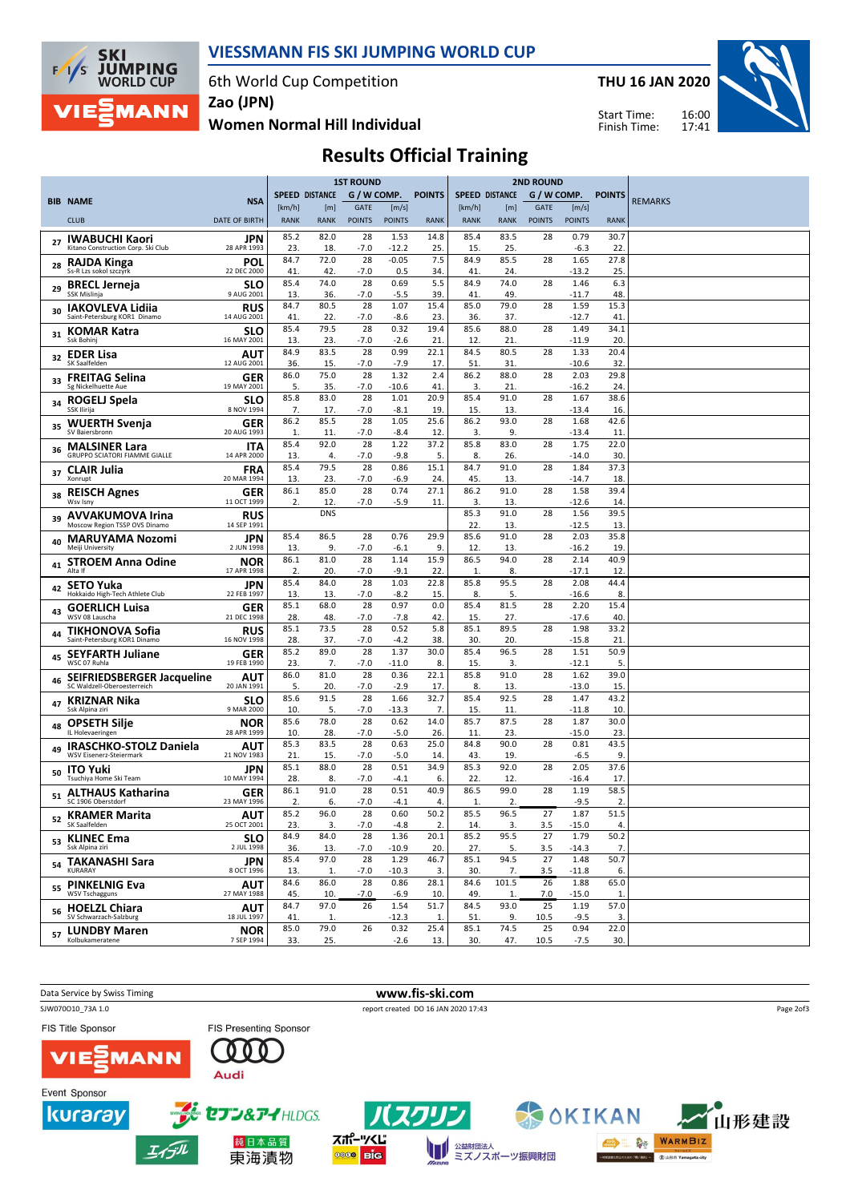

#### VIESSMANN FIS SKI JUMPING WORLD CUP

6th World Cup Competition

THU 16 JAN 2020

Start Time: Finish Time:



Women Normal Hill Individual Zao (JPN)

# Results Official Training

|    |                                                                 |                           | <b>1ST ROUND</b> |                       |               | <b>2ND ROUND</b> |               |             |                       |               |                 |               |                |
|----|-----------------------------------------------------------------|---------------------------|------------------|-----------------------|---------------|------------------|---------------|-------------|-----------------------|---------------|-----------------|---------------|----------------|
|    | <b>BIB NAME</b>                                                 | <b>NSA</b>                |                  | <b>SPEED DISTANCE</b> | G / W COMP.   |                  | <b>POINTS</b> |             | <b>SPEED DISTANCE</b> | G / W COMP.   |                 | <b>POINTS</b> | <b>REMARKS</b> |
|    |                                                                 |                           | [km/h]           | [m]                   | GATE          | [m/s]            |               | [km/h]      | [m]                   | <b>GATE</b>   | [m/s]           |               |                |
|    | <b>CLUB</b>                                                     | <b>DATE OF BIRTH</b>      | <b>RANK</b>      | <b>RANK</b>           | <b>POINTS</b> | <b>POINTS</b>    | <b>RANK</b>   | <b>RANK</b> | <b>RANK</b>           | <b>POINTS</b> | <b>POINTS</b>   | <b>RANK</b>   |                |
| 27 | <b>IWABUCHI Kaori</b>                                           | JPN                       | 85.2             | 82.0                  | 28            | 1.53             | 14.8          | 85.4        | 83.5                  | 28            | 0.79            | 30.7          |                |
|    | Kitano Construction Corp. Ski Club                              | 28 APR 1993               | 23.              | 18.                   | -7.0          | $-12.2$          | 25.           | 15.         | 25.                   |               | -6.3            | 22            |                |
| 28 | RAJDA Kinga<br>Ss-R Lzs sokol szczyrk                           | POL<br>22 DEC 2000        | 84.7<br>41.      | 72.0<br>42.           | 28<br>-7.0    | $-0.05$<br>0.5   | 7.5<br>34.    | 84.9<br>41  | 85.5<br>24.           | 28            | 1.65<br>$-13.2$ | 27.8<br>25    |                |
|    | <b>BRECL Jerneja</b>                                            | SLO                       | 85.4             | 74.0                  | 28            | 0.69             | 5.5           | 84.9        | 74.0                  | 28            | 1.46            | 6.3           |                |
| 29 | SSK Mislinja                                                    | 9 AUG 2001                | 13.              | 36.                   | $-7.0$        | $-5.5$           | 39.           | 41          | 49                    |               | $-11.7$         | 48            |                |
| 30 | <b>IAKOVLEVA Lidija</b><br>Saint-Petersburg KOR1 Dinamo         | <b>RUS</b><br>14 AUG 2001 | 84.7             | 80.5                  | 28<br>-7.0    | 1.07             | 15.4          | 85.0        | 79.0<br>37.           | 28            | 1.59            | 15.3          |                |
|    | <b>KOMAR Katra</b>                                              | <b>SLO</b>                | 41<br>85.4       | 22.<br>79.5           | 28            | -8.6<br>0.32     | 23.<br>19.4   | 36.<br>85.6 | 88.0                  | 28            | -12.7<br>1.49   | 41<br>34.1    |                |
| 31 | Ssk Bohinj                                                      | 16 MAY 2001               | 13.              | 23.                   | -7.0          | $-2.6$           | 21            | 12          | 21                    |               | $-11.9$         | 20.           |                |
| 32 | <b>EDER Lisa</b>                                                | AUT                       | 84.9             | 83.5                  | 28            | 0.99             | 22.1          | 84.5        | 80.5                  | 28            | 1.33            | 20.4          |                |
|    | SK Saalfelden                                                   | 12 AUG 2001               | 36.<br>86.0      | 15.<br>75.0           | $-7.0$<br>28  | $-7.9$<br>1.32   | 17.<br>2.4    | 51<br>86.2  | 31<br>88.0            | 28            | $-10.6$<br>2.03 | 32<br>29.8    |                |
|    | 33 FREITAG Selina<br>Sg Nickelhuette Aue                        | <b>GER</b><br>19 MAY 2001 | 5.               | 35.                   | -7.0          | $-10.6$          | 41            | 3.          | 21.                   |               | $-16.2$         | 24.           |                |
|    | ROGELJ Spela                                                    | SLO                       | 85.8             | 83.0                  | 28            | 1.01             | 20.9          | 85.4        | 91.0                  | 28            | 1.67            | 38.6          |                |
|    | SSK Ilirija                                                     | 8 NOV 1994                | 7.               | 17.                   | -7.0          | $-8.1$           | 19.           | 15.         | 13.                   |               | -13.4           | 16            |                |
| 35 | <b>WUERTH Svenja</b><br>SV Baiersbronn                          | <b>GER</b><br>20 AUG 1993 | 86.2<br>1.       | 85.5<br>11.           | 28<br>$-7.0$  | 1.05<br>$-8.4$   | 25.6<br>12.   | 86.2<br>3.  | 93.0<br>9             | 28            | 1.68<br>$-13.4$ | 42.6<br>11    |                |
| 36 | <b>MALSINER Lara</b>                                            | <b>ITA</b>                | 85.4             | 92.0                  | 28            | 1.22             | 37.2          | 85.8        | 83.0                  | 28            | 1.75            | 22.0          |                |
|    | <b>GRUPPO SCIATORI FIAMME GIALLE</b>                            | 14 APR 2000               | 13.              | 4.                    | $-7.0$        | -9.8             | 5.            | 8.          | 26.                   |               | $-14.0$         | 30.           |                |
| 37 | <b>CLAIR Julia</b><br>Xonrupt                                   | <b>FRA</b><br>20 MAR 1994 | 85.4             | 79.5                  | 28            | 0.86             | 15.1          | 84.7        | 91.0                  | 28            | 1.84            | 37.3          |                |
|    | <b>REISCH Agnes</b>                                             | <b>GER</b>                | 13.<br>86.1      | 23.<br>85.0           | -7.0<br>28    | -6.9<br>0.74     | 24.<br>27.1   | 45.<br>86.2 | 13.<br>91.0           | 28            | -14.7<br>1.58   | 18<br>39.4    |                |
| 38 | Wsv Isny                                                        | 11 OCT 1999               | 2.               | 12.                   | $-7.0$        | $-5.9$           | 11.           | 3.          | 13.                   |               | $-12.6$         | 14.           |                |
| 39 | <b>AVVAKUMOVA Irina</b>                                         | <b>RUS</b>                |                  | <b>DNS</b>            |               |                  |               | 85.3        | 91.0                  | 28            | 1.56            | 39.5          |                |
|    | Moscow Region TSSP OVS Dinamo                                   | 14 SEP 1991               | 85.4             | 86.5                  | 28            | 0.76             | 29.9          | 22.<br>85.6 | 13.<br>91.0           | 28            | $-12.5$<br>2.03 | 13<br>35.8    |                |
| 40 | <b>MARUYAMA Nozomi</b><br>Meiii University                      | JPN<br>2 JUN 1998         | 13.              | 9.                    | -7.0          | -6.1             | 9.            | 12          | 13.                   |               | -16.2           | 19            |                |
| 41 | <b>STROEM Anna Odine</b>                                        | <b>NOR</b>                | 86.1             | 81.0                  | 28            | 1.14             | 15.9          | 86.5        | 94.0                  | 28            | 2.14            | 40.9          |                |
|    | Alta If                                                         | 17 APR 1998               | 2.               | 20.                   | -7.0          | $-9.1$           | 22.           | 1.          | 8.                    |               | -17.1           | 12            |                |
| 42 | <b>SETO Yuka</b><br>Hokkaido High-Tech Athlete Club             | JPN<br>22 FEB 1997        | 85.4<br>13.      | 84.0<br>13.           | 28<br>$-7.0$  | 1.03<br>$-8.2$   | 22.8<br>15.   | 85.8<br>8.  | 95.5<br>5.            | 28            | 2.08<br>$-16.6$ | 44.4<br>8.    |                |
|    | <b>GOERLICH Luisa</b>                                           | <b>GER</b>                | 85.1             | 68.0                  | 28            | 0.97             | 0.0           | 85.4        | 81.5                  | 28            | 2.20            | 15.4          |                |
| 43 | WSV 08 Lauscha                                                  | 21 DEC 1998               | 28.              | 48.                   | -7.0          | $-7.8$           | 42.           | 15.         | 27.                   |               | -17.6           | 40.           |                |
| 44 | <b>TIKHONOVA Sofia</b><br>Saint-Petersburg KOR1 Dinamo          | <b>RUS</b><br>16 NOV 1998 | 85.1<br>28.      | 73.5<br>37.           | 28<br>-7.0    | 0.52<br>$-4.2$   | 5.8<br>38.    | 85.1<br>30  | 89.5<br>20.           | 28            | 1.98<br>$-15.8$ | 33.2<br>21    |                |
|    | <b>SEYFARTH Juliane</b>                                         | GER                       | 85.2             | 89.0                  | 28            | 1.37             | 30.0          | 85.4        | 96.5                  | 28            | 1.51            | 50.9          |                |
| 45 | WSC 07 Ruhla                                                    | 19 FEB 1990               | 23.              | 7.                    | $-7.0$        | $-11.0$          | 8.            | 15.         | 3.                    |               | $-12.1$         | 5             |                |
| 46 | SEIFRIEDSBERGER Jacqueline                                      | AUT                       | 86.0             | 81.0                  | 28            | 0.36             | 22.1          | 85.8        | 91.0                  | 28            | 1.62            | 39.0          |                |
|    | SC Waldzell-Oberoesterreich                                     | 20 JAN 1991               | 5.<br>85.6       | 20.<br>91.5           | -7.0<br>28    | $-2.9$<br>1.66   | 17.<br>32.7   | 8.<br>85.4  | 13.<br>92.5           | 28            | $-13.0$<br>1.47 | 15.<br>43.2   |                |
|    | KRIZNAR Nika<br>Ssk Alpina ziri                                 | SLO<br>9 MAR 2000         | 10.              | 5.                    | -7.0          | $-13.3$          | 7.            | 15.         | 11.                   |               | $-11.8$         | 10.           |                |
| 48 | <b>OPSETH Silje</b>                                             | <b>NOR</b>                | 85.6             | 78.0                  | 28            | 0.62             | 14.0          | 85.7        | 87.5                  | 28            | 1.87            | 30.0          |                |
|    | IL Holevaeringen                                                | 28 APR 1999               | 10.<br>85.3      | 28.<br>83.5           | -7.0<br>28    | $-5.0$<br>0.63   | 26.<br>25.0   | 11<br>84.8  | 23.<br>90.0           | 28            | $-15.0$         | 23            |                |
| 49 | <b>IRASCHKO-STOLZ Daniela</b><br><b>WSV Eisenerz-Steiermark</b> | AUT<br>21 NOV 1983        | 21.              | 15.                   | $-7.0$        | $-5.0$           | 14.           | 43.         | 19                    |               | 0.81<br>$-6.5$  | 43.5<br>9.    |                |
| 50 | <b>ITO Yuki</b>                                                 | JPN                       | 85.1             | 88.0                  | 28            | 0.51             | 34.9          | 85.3        | 92.0                  | 28            | 2.05            | 37.6          |                |
|    | Tsuchiya Home Ski Team                                          | 10 MAY 1994               | 28.              | 8.                    | -7.0          | $-4.1$           | 6.            | 22.         | 12.                   |               | -16.4           | 17            |                |
|    | 51 ALTHAUS Katharina<br>SC 1906 Oberstdorf                      | GER<br>23 MAY 1996        | 86.1<br>2.       | 91.0<br>6.            | 28<br>-7.0    | 0.51<br>$-4.1$   | 40.9<br>4.    | 86.5<br>1.  | 99.0<br>2.            | 28            | 1.19<br>$-9.5$  | 58.5<br>2.    |                |
|    | <b>KRAMER Marita</b>                                            | AUT                       | 85.2             | 96.0                  | 28            | 0.60             | 50.2          | 85.5        | 96.5                  | 27            | 1.87            | 51.5          |                |
| 52 | SK Saalfelden                                                   | 25 OCT 2001               | 23.              | 3.                    | $-7.0$        | $-4.8$           | 2.            | 14.         | 3.                    | 3.5           | $-15.0$         | 4.            |                |
|    | <sub>53</sub> KLINEC Ema<br>Ssk Alpina ziri                     | <b>SLO</b>                | 84.9             | 84.0                  | 28            | 1.36             | 20.1          | 85.2        | 95.5                  | 27            | 1.79            | 50.2          |                |
|    |                                                                 | 2 JUL 1998<br><b>JPN</b>  | 36.<br>85.4      | 13.<br>97.0           | -7.0<br>28    | $-10.9$<br>1.29  | 20.<br>46.7   | 27.<br>85.1 | 5.<br>94.5            | 3.5<br>27     | $-14.3$<br>1.48 | 7.<br>50.7    |                |
|    | 54 TAKANASHI Sara<br>KURARAY                                    | 8 OCT 1996                | 13.              | 1.                    | $-7.0$        | $-10.3$          | 3.            | 30.         | 7.                    | 3.5           | $-11.8$         | 6.            |                |
| 55 | <b>PINKELNIG Eva</b>                                            | <b>AUT</b>                | 84.6             | 86.0                  | 28            | 0.86             | 28.1          | 84.6        | 101.5                 | 26            | 1.88            | 65.0          |                |
|    | <b>WSV Tschagguns</b>                                           | 27 MAY 1988               | 45.<br>84.7      | 10.<br>97.0           | $-7.0$<br>26  | $-6.9$<br>1.54   | 10.<br>51.7   | 49.<br>84.5 | 1.<br>93.0            | 7.0<br>25     | $-15.0$<br>1.19 | 1.<br>57.0    |                |
|    | <sub>56</sub> HOELZL Chiara<br>SV Schwarzach-Salzburg           | AUT<br>18 JUL 1997        | 41.              | 1.                    |               | $-12.3$          | 1.            | 51.         | 9.                    | 10.5          | $-9.5$          | 3.            |                |
|    | <sub>57</sub> LUNDBY Maren                                      | <b>NOR</b>                | 85.0             | 79.0                  | 26            | 0.32             | 25.4          | 85.1        | 74.5                  | 25            | 0.94            | 22.0          |                |
|    | Kolbukameratene                                                 | 7 SEP 1994                | 33.              | 25.                   |               | $-2.6$           | 13.           | 30.         | 47.                   | 10.5          | $-7.5$          | 30.           |                |